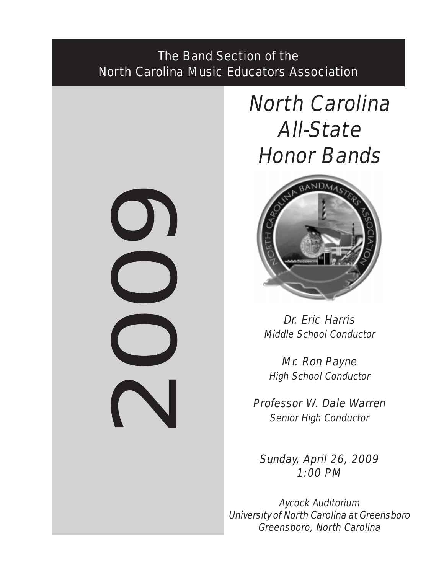# The Band Section of the North Carolina Music Educators Association

2009

# North Carolina All-State Honor Bands



Dr. Eric Harris Middle School Conductor

Mr. Ron Payne High School Conductor

Professor W. Dale Warren Senior High Conductor

Sunday, April 26, 2009 1:00 PM

Aycock Auditorium University of North Carolina at Greensboro Greensboro, North Carolina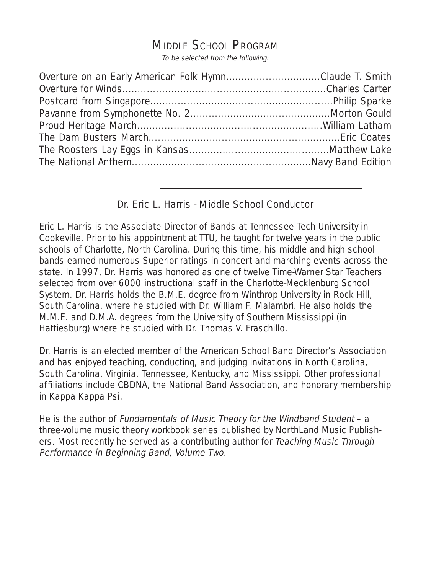# MIDDLE SCHOOL PROGRAM

To be selected from the following:

| Overture on an Early American Folk HymnClaude T. Smith |  |
|--------------------------------------------------------|--|
|                                                        |  |
|                                                        |  |
|                                                        |  |
|                                                        |  |
|                                                        |  |
|                                                        |  |
|                                                        |  |

# Dr. Eric L. Harris - Middle School Conductor

Eric L. Harris is the Associate Director of Bands at Tennessee Tech University in Cookeville. Prior to his appointment at TTU, he taught for twelve years in the public schools of Charlotte, North Carolina. During this time, his middle and high school bands earned numerous Superior ratings in concert and marching events across the state. In 1997, Dr. Harris was honored as one of twelve Time-Warner Star Teachers selected from over 6000 instructional staff in the Charlotte-Mecklenburg School System. Dr. Harris holds the B.M.E. degree from Winthrop University in Rock Hill, South Carolina, where he studied with Dr. William F. Malambri. He also holds the M.M.E. and D.M.A. degrees from the University of Southern Mississippi (in Hattiesburg) where he studied with Dr. Thomas V. Fraschillo.

Dr. Harris is an elected member of the American School Band Director's Association and has enjoyed teaching, conducting, and judging invitations in North Carolina, South Carolina, Virginia, Tennessee, Kentucky, and Mississippi. Other professional affiliations include CBDNA, the National Band Association, and honorary membership in Kappa Kappa Psi.

He is the author of Fundamentals of Music Theory for the Windband Student – a three-volume music theory workbook series published by NorthLand Music Publishers. Most recently he served as a contributing author for Teaching Music Through Performance in Beginning Band, Volume Two.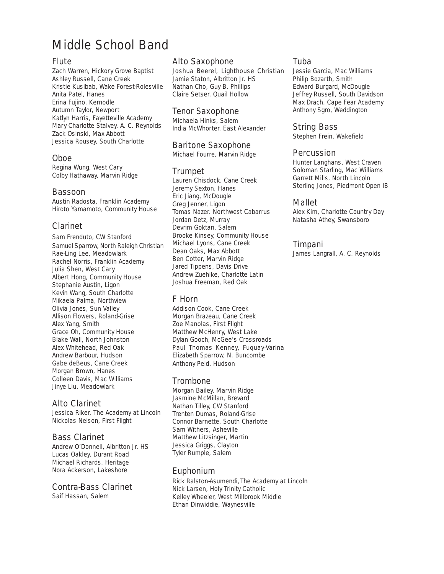# Middle School Band

### Flute

Zach Warren, Hickory Grove Baptist Ashley Russell, Cane Creek Kristie Kusibab, Wake Forest-Rolesville Anita Patel, Hanes Erina Fujino, Kernodle Autumn Taylor, Newport Katlyn Harris, Fayetteville Academy Mary Charlotte Stalvey, A. C. Reynolds Zack Osinski, Max Abbott Jessica Rousey, South Charlotte

## Oboe

Regina Wung, West Cary Colby Hathaway, Marvin Ridge

#### Bassoon

Austin Radosta, Franklin Academy Hiroto Yamamoto, Community House

# Clarinet

Sam Frenduto, CW Stanford Samuel Sparrow, North Raleigh Christian Rae-Ling Lee, Meadowlark Rachel Norris, Franklin Academy Julia Shen, West Cary Albert Hong, Community House Stephanie Austin, Ligon Kevin Wang, South Charlotte Mikaela Palma, Northview Olivia Jones, Sun Valley Allison Flowers, Roland-Grise Alex Yang, Smith Grace Oh, Community House Blake Wall, North Johnston Alex Whitehead, Red Oak Andrew Barbour, Hudson Gabe deBeus, Cane Creek Morgan Brown, Hanes Colleen Davis, Mac Williams Jinye Liu, Meadowlark

# Alto Clarinet

Jessica Riker, The Academy at Lincoln Nickolas Nelson, First Flight

# Bass Clarinet

Andrew O'Donnell, Albritton Jr. HS Lucas Oakley, Durant Road Michael Richards, Heritage Nora Ackerson, Lakeshore

#### Contra-Bass Clarinet

Saif Hassan, Salem

### Alto Saxophone

Joshua Beerel, Lighthouse Christian Jamie Staton, Albritton Jr. HS Nathan Cho, Guy B. Phillips Claire Setser, Quail Hollow

### Tenor Saxophone

Michaela Hinks, Salem India McWhorter, East Alexander

# Baritone Saxophone

Michael Fourre, Marvin Ridge

# Trumpet

Lauren Chisdock, Cane Creek Jeremy Sexton, Hanes Eric Jiang, McDougle Greg Jenner, Ligon Tomas Nazer. Northwest Cabarrus Jordan Detz, Murray Devrim Goktan, Salem Brooke Kinsey, Community House Michael Lyons, Cane Creek Dean Oaks, Max Abbott Ben Cotter, Marvin Ridge Jared Tippens, Davis Drive Andrew Zuehlke, Charlotte Latin Joshua Freeman, Red Oak

# F Horn

Addison Cook, Cane Creek Morgan Brazeau, Cane Creek Zoe Manolas, First Flight Matthew McHenry, West Lake Dylan Gooch, McGee's Crossroads Paul Thomas Kenney, Fuquay-Varina Elizabeth Sparrow, N. Buncombe Anthony Peid, Hudson

#### **Trombone**

Morgan Bailey, Marvin Ridge Jasmine McMillan, Brevard Nathan Tilley, CW Stanford Trenten Dumas, Roland-Grise Connor Barnette, South Charlotte Sam Withers, Asheville Matthew Litzsinger, Martin Jessica Griggs, Clayton Tyler Rumple, Salem

# Euphonium

Rick Ralston-Asumendi, The Academy at LincolnNick Larsen, Holy Trinity Catholic Kelley Wheeler, West Millbrook Middle Ethan Dinwiddie, Waynesville

# Tuba

Jessie Garcia, Mac Williams Philip Bozarth, Smith Edward Burgard, McDougle Jeffrey Russell, South Davidson Max Drach, Cape Fear Academy Anthony Sgro, Weddington

# String Bass

Stephen Frein, Wakefield

# **Percussion**

Hunter Langhans, West Craven Soloman Starling, Mac Williams Garrett Mills, North Lincoln Sterling Jones, Piedmont Open IB

# Mallet

Alex Kim, Charlotte Country Day Natasha Athey, Swansboro

# Timpani

James Langrall, A. C. Reynolds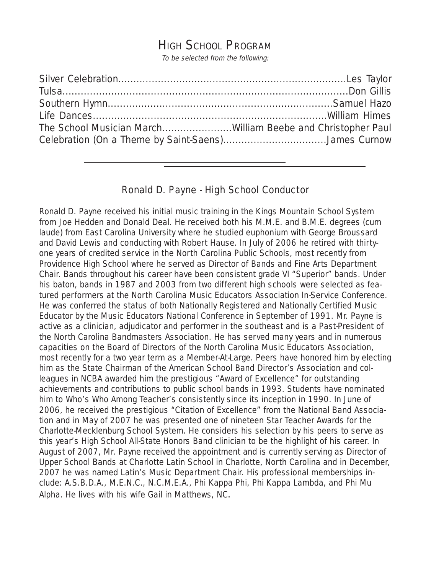# HIGH SCHOOL PROGRAM

To be selected from the following:

| The School Musician MarchWilliam Beebe and Christopher Paul |  |
|-------------------------------------------------------------|--|
| Celebration (On a Theme by Saint-Saens)James Curnow         |  |
|                                                             |  |

# Ronald D. Payne - High School Conductor

Ronald D. Payne received his initial music training in the Kings Mountain School System from Joe Hedden and Donald Deal. He received both his M.M.E. and B.M.E. degrees (cum laude) from East Carolina University where he studied euphonium with George Broussard and David Lewis and conducting with Robert Hause. In July of 2006 he retired with thirtyone years of credited service in the North Carolina Public Schools, most recently from Providence High School where he served as Director of Bands and Fine Arts Department Chair. Bands throughout his career have been consistent grade VI "Superior" bands. Under his baton, bands in 1987 and 2003 from two different high schools were selected as featured performers at the North Carolina Music Educators Association In-Service Conference. He was conferred the status of both Nationally Registered and Nationally Certified Music Educator by the Music Educators National Conference in September of 1991. Mr. Payne is active as a clinician, adjudicator and performer in the southeast and is a Past-President of the North Carolina Bandmasters Association. He has served many years and in numerous capacities on the Board of Directors of the North Carolina Music Educators Association, most recently for a two year term as a Member-At-Large. Peers have honored him by electing him as the State Chairman of the American School Band Director's Association and colleagues in NCBA awarded him the prestigious "Award of Excellence" for outstanding achievements and contributions to public school bands in 1993. Students have nominated him to Who's Who Among Teacher's consistently since its inception in 1990. In June of 2006, he received the prestigious "Citation of Excellence" from the National Band Association and in May of 2007 he was presented one of nineteen Star Teacher Awards for the Charlotte-Mecklenburg School System. He considers his selection by his peers to serve as this year's High School All-State Honors Band clinician to be the highlight of his career. In August of 2007, Mr. Payne received the appointment and is currently serving as Director of Upper School Bands at Charlotte Latin School in Charlotte, North Carolina and in December, 2007 he was named Latin's Music Department Chair. His professional memberships include: A.S.B.D.A., M.E.N.C., N.C.M.E.A., Phi Kappa Phi, Phi Kappa Lambda, and Phi Mu Alpha. He lives with his wife Gail in Matthews, NC.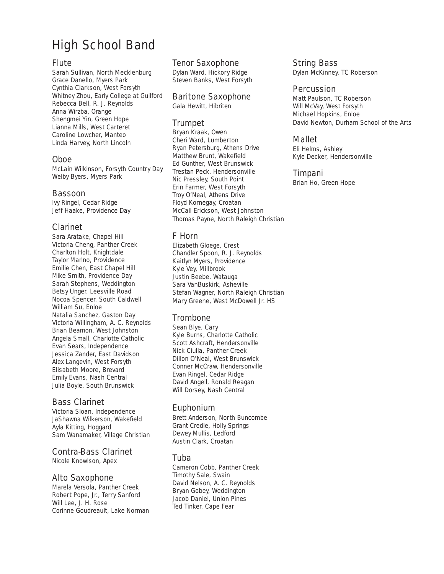# High School Band

## **Flute**

Sarah Sullivan, North Mecklenburg Grace Danello, Myers Park Cynthia Clarkson, West Forsyth Whitney Zhou, Early College at Guilford Rebecca Bell, R. J. Reynolds Anna Wirzba, Orange Shengmei Yin, Green Hope Lianna Mills, West Carteret Caroline Lowcher, Manteo Linda Harvey, North Lincoln

## Oboe

McLain Wilkinson, Forsyth Country Day Welby Byers, Myers Park

#### Bassoon

Ivy Ringel, Cedar Ridge Jeff Haake, Providence Day

## Clarinet

Sara Aratake, Chapel Hill Victoria Cheng, Panther Creek Charlton Holt, Knightdale Taylor Marino, Providence Emilie Chen, East Chapel Hill Mike Smith, Providence Day Sarah Stephens, Weddington Betsy Unger, Leesville Road Nocoa Spencer, South Caldwell William Su, Enloe Natalia Sanchez, Gaston Day Victoria Willingham, A. C. Reynolds Brian Beamon, West Johnston Angela Small, Charlotte Catholic Evan Sears, Independence Jessica Zander, East Davidson Alex Langevin, West Forsyth Elisabeth Moore, Brevard Emily Evans, Nash Central Julia Boyle, South Brunswick

# Bass Clarinet

Victoria Sloan, Independence JaShawna Wilkerson, Wakefield Ayla Kitting, Hoggard Sam Wanamaker, Village Christian

# Contra-Bass Clarinet

Nicole Knowlson, Apex

#### Alto Saxophone

Marela Versola, Panther Creek Robert Pope, Jr., Terry Sanford Will Lee, J. H. Rose Corinne Goudreault, Lake Norman

#### Tenor Saxophone

Dylan Ward, Hickory Ridge Steven Banks, West Forsyth

#### Baritone Saxophone

Gala Hewitt, Hibriten

# Trumpet

Bryan Kraak, Owen Cheri Ward, Lumberton Ryan Petersburg, Athens Drive Matthew Brunt, Wakefield Ed Gunther, West Brunswick Trestan Peck, Hendersonville Nic Pressley, South Point Erin Farmer, West Forsyth Troy O'Neal, Athens Drive Floyd Kornegay, Croatan McCall Erickson, West Johnston Thomas Payne, North Raleigh Christian

# F Horn

Elizabeth Gloege, Crest Chandler Spoon, R. J. Reynolds Kaitlyn Myers, Providence Kyle Vey, Millbrook Justin Beebe, Watauga Sara VanBuskirk, Asheville Stefan Wagner, North Raleigh Christian Mary Greene, West McDowell Jr. HS

# **Trombone**

Sean Blye, Cary Kyle Burns, Charlotte Catholic Scott Ashcraft, Hendersonville Nick Ciulla, Panther Creek Dillon O'Neal, West Brunswick Conner McCraw, Hendersonville Evan Ringel, Cedar Ridge David Angell, Ronald Reagan Will Dorsey, Nash Central

#### Euphonium

Brett Anderson, North Buncombe Grant Credle, Holly Springs Dewey Mullis, Ledford Austin Clark, Croatan

#### Tuba

Cameron Cobb, Panther Creek Timothy Sale, Swain David Nelson, A. C. Reynolds Bryan Gobey, Weddington Jacob Daniel, Union Pines Ted Tinker, Cape Fear

### String Bass

Dylan McKinney, TC Roberson

#### **Percussion**

Matt Paulson, TC Roberson Will McVay, West Forsyth Michael Hopkins, Enloe David Newton, Durham School of the Arts

# Mallet

Eli Helms, Ashley Kyle Decker, Hendersonville

#### Timpani

Brian Ho, Green Hope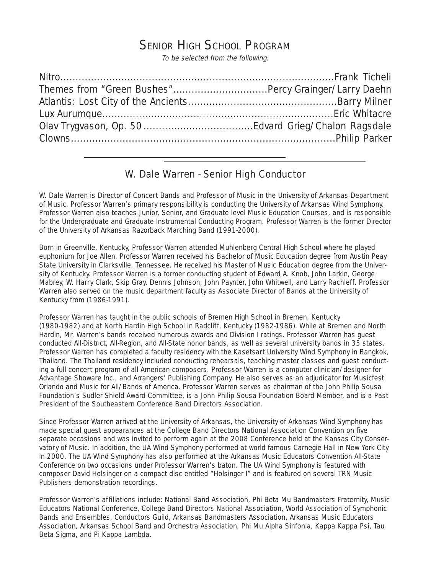# SENIOR HIGH SCHOOL PROGRAM

To be selected from the following:

# W. Dale Warren - Senior High Conductor

W. Dale Warren is Director of Concert Bands and Professor of Music in the University of Arkansas Department of Music. Professor Warren's primary responsibility is conducting the University of Arkansas Wind Symphony. Professor Warren also teaches Junior, Senior, and Graduate level Music Education Courses, and is responsible for the Undergraduate and Graduate Instrumental Conducting Program. Professor Warren is the former Director of the University of Arkansas Razorback Marching Band (1991-2000).

Born in Greenville, Kentucky, Professor Warren attended Muhlenberg Central High School where he played euphonium for Joe Allen. Professor Warren received his Bachelor of Music Education degree from Austin Peay State University in Clarksville, Tennessee. He received his Master of Music Education degree from the University of Kentucky. Professor Warren is a former conducting student of Edward A. Knob, John Larkin, George Mabrey, W. Harry Clark, Skip Gray, Dennis Johnson, John Paynter, John Whitwell, and Larry Rachleff. Professor Warren also served on the music department faculty as Associate Director of Bands at the University of Kentucky from (1986-1991).

Professor Warren has taught in the public schools of Bremen High School in Bremen, Kentucky (1980-1982) and at North Hardin High School in Radcliff, Kentucky (1982-1986). While at Bremen and North Hardin, Mr. Warren's bands received numerous awards and Division I ratings. Professor Warren has guest conducted All-District, All-Region, and All-State honor bands, as well as several university bands in 35 states. Professor Warren has completed a faculty residency with the Kasetsart University Wind Symphony in Bangkok, Thailand. The Thailand residency included conducting rehearsals, teaching master classes and guest conducting a full concert program of all American composers. Professor Warren is a computer clinician/designer for Advantage Showare Inc., and Arrangers' Publishing Company. He also serves as an adjudicator for Musicfest Orlando and Music for All/Bands of America. Professor Warren serves as chairman of the John Philip Sousa Foundation's Sudler Shield Award Committee, is a John Philip Sousa Foundation Board Member, and is a Past President of the Southeastern Conference Band Directors Association.

Since Professor Warren arrived at the University of Arkansas, the University of Arkansas Wind Symphony has made special guest appearances at the College Band Directors National Association Convention on five separate occasions and was invited to perform again at the 2008 Conference held at the Kansas City Conservatory of Music. In addition, the UA Wind Symphony performed at world famous Carnegie Hall in New York City in 2000. The UA Wind Symphony has also performed at the Arkansas Music Educators Convention All-State Conference on two occasions under Professor Warren's baton. The UA Wind Symphony is featured with composer David Holsinger on a compact disc entitled "Holsinger I" and is featured on several TRN Music Publishers demonstration recordings.

Professor Warren's affiliations include: National Band Association, Phi Beta Mu Bandmasters Fraternity, Music Educators National Conference, College Band Directors National Association, World Association of Symphonic Bands and Ensembles, Conductors Guild, Arkansas Bandmasters Association, Arkansas Music Educators Association, Arkansas School Band and Orchestra Association, Phi Mu Alpha Sinfonia, Kappa Kappa Psi, Tau Beta Sigma, and Pi Kappa Lambda.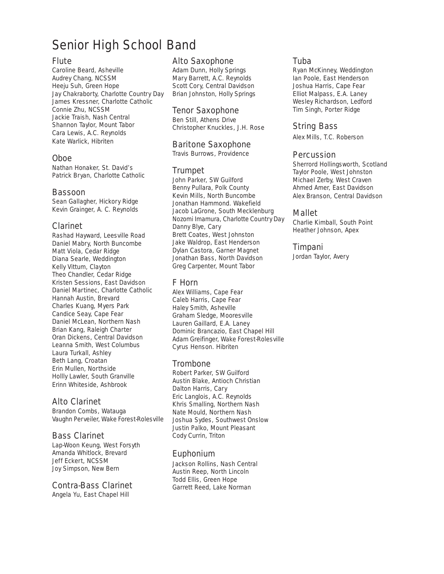# Senior High School Band

#### Flute

Caroline Beard, Asheville Audrey Chang, NCSSM Heeju Suh, Green Hope Jay Chakraborty, Charlotte Country Day James Kressner, Charlotte Catholic Connie Zhu, NCSSM Jackie Traish, Nash Central Shannon Taylor, Mount Tabor Cara Lewis, A.C. Reynolds Kate Warlick, Hibriten

#### Oboe

Nathan Honaker, St. David's Patrick Bryan, Charlotte Catholic

#### Bassoon

Sean Gallagher, Hickory Ridge Kevin Grainger, A. C. Reynolds

## Clarinet

Rashad Hayward, Leesville Road Daniel Mabry, North Buncombe Matt Viola, Cedar Ridge Diana Searle, Weddington Kelly Vittum, Clayton Theo Chandler, Cedar Ridge Kristen Sessions, East Davidson Daniel Martinec, Charlotte Catholic Hannah Austin, Brevard Charles Kuang, Myers Park Candice Seay, Cape Fear Daniel McLean, Northern Nash Brian Kang, Raleigh Charter Oran Dickens, Central Davidson Leanna Smith, West Columbus Laura Turkall, Ashley Beth Lang, Croatan Erin Mullen, Northside Hollly Lawler, South Granville Erinn Whiteside, Ashbrook

# Alto Clarinet

Brandon Combs, Watauga Vaughn Perveiler, Wake Forest-Rolesville

#### Bass Clarinet

Lap-Woon Keung, West Forsyth Amanda Whitlock, Brevard Jeff Eckert, NCSSM Joy Simpson, New Bern

### Contra-Bass Clarinet

Angela Yu, East Chapel Hill

#### Alto Saxophone

Adam Dunn, Holly Springs Mary Barrett, A.C. Reynolds Scott Cory, Central Davidson Brian Johnston, Holly Springs

#### Tenor Saxophone

Ben Still, Athens Drive Christopher Knuckles, J.H. Rose

## Baritone Saxophone

Travis Burrows, Providence

#### Trumpet

John Parker, SW Guilford Benny Pullara, Polk County Kevin Mills, North Buncombe Jonathan Hammond. Wakefield Jacob LaGrone, South Mecklenburg Nozomi Imamura, Charlotte Country Day Danny Blye, Cary Brett Coates, West Johnston Jake Waldrop, East Henderson Dylan Castora, Garner Magnet Jonathan Bass, North Davidson Greg Carpenter, Mount Tabor

# F Horn

Alex Williams, Cape Fear Caleb Harris, Cape Fear Haley Smith, Asheville Graham Sledge, Mooresville Lauren Gaillard, E.A. Laney Dominic Brancazio, East Chapel Hill Adam Greifinger, Wake Forest-Rolesville Cyrus Henson. Hibriten

# Trombone

Robert Parker, SW Guilford Austin Blake, Antioch Christian Dalton Harris, Cary Eric Langlois, A.C. Reynolds Khris Smalling, Northern Nash Nate Mould, Northern Nash Joshua Sydes, Southwest Onslow Justin Palko, Mount Pleasant Cody Currin, Triton

#### Euphonium

Jackson Rollins, Nash Central Austin Reep, North Lincoln Todd Ellis, Green Hope Garrett Reed, Lake Norman

#### Tuba

Ryan McKinney, Weddington Ian Poole, East Henderson Joshua Harris, Cape Fear Elliot Malpass, E.A. Laney Wesley Richardson, Ledford Tim Singh, Porter Ridge

# String Bass

Alex Mills, T.C. Roberson

#### **Percussion**

Sherrord Hollingsworth, Scotland Taylor Poole, West Johnston Michael Zerby, West Craven Ahmed Amer, East Davidson Alex Branson, Central Davidson

#### Mallet

Charlie Kimball, South Point Heather Johnson, Apex

#### Timpani

Jordan Taylor, Avery